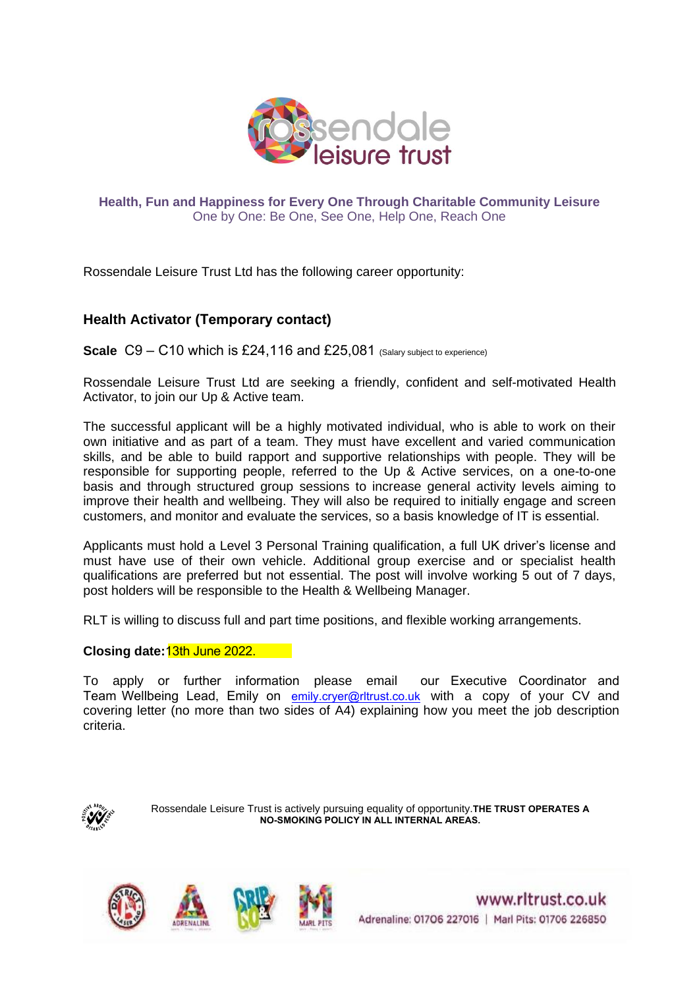

**Health, Fun and Happiness for Every One Through Charitable Community Leisure**  One by One: Be One, See One, Help One, Reach One

Rossendale Leisure Trust Ltd has the following career opportunity:

## **Health Activator (Temporary contact)**

**Scale** C9 – C10 which is £24,116 and £25,081 (Salary subject to experience)

Rossendale Leisure Trust Ltd are seeking a friendly, confident and self-motivated Health Activator, to join our Up & Active team.

The successful applicant will be a highly motivated individual, who is able to work on their own initiative and as part of a team. They must have excellent and varied communication skills, and be able to build rapport and supportive relationships with people. They will be responsible for supporting people, referred to the Up & Active services, on a one-to-one basis and through structured group sessions to increase general activity levels aiming to improve their health and wellbeing. They will also be required to initially engage and screen customers, and monitor and evaluate the services, so a basis knowledge of IT is essential.

Applicants must hold a Level 3 Personal Training qualification, a full UK driver's license and must have use of their own vehicle. Additional group exercise and or specialist health qualifications are preferred but not essential. The post will involve working 5 out of 7 days, post holders will be responsible to the Health & Wellbeing Manager.

RLT is willing to discuss full and part time positions, and flexible working arrangements.

## **Closing date:**13th June 2022.

To apply or further information please email our Executive Coordinator and [Team Wellbeing Lead, Em](mailto:jodie.english@rltrust.co.uk)ily on [emily.cryer@rltrust.co.uk](mailto:jodie.english@rltrust.co.uk) with a copy of your CV and covering letter (no more than two sides of A4) explaining how you meet the job description criteria.



Rossendale Leisure Trust is actively pursuing equality of opportunity.**THE TRUST OPERATES A NO-SMOKING POLICY IN ALL INTERNAL AREAS.**